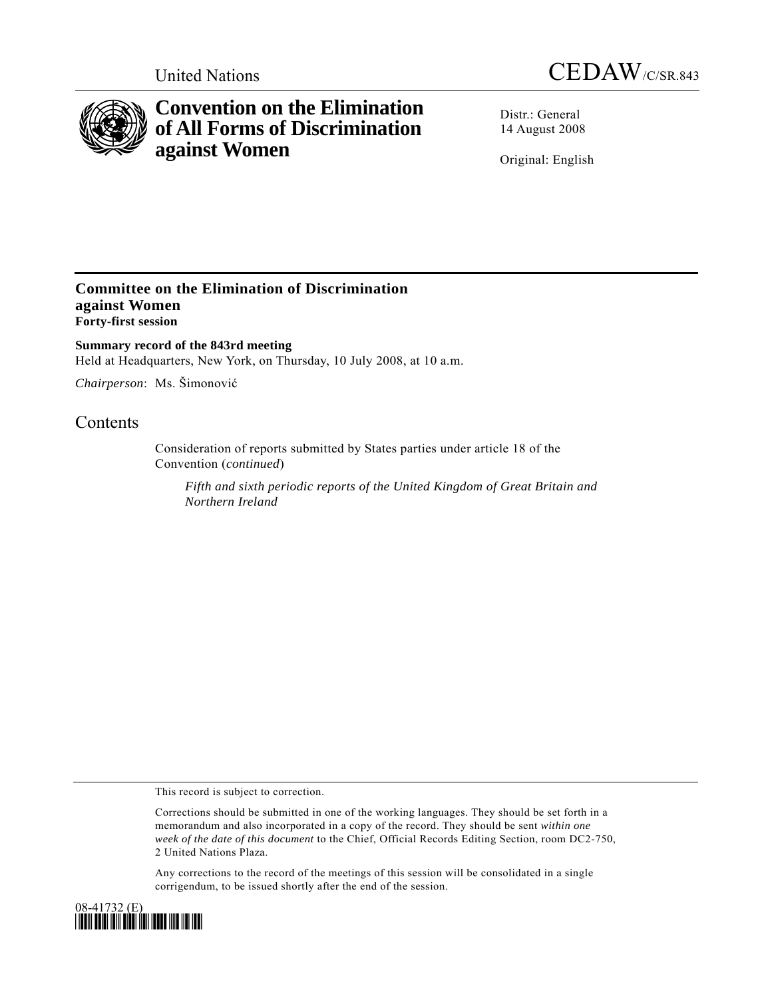



# **Convention on the Elimination of All Forms of Discrimination against Women**

Distr.: General 14 August 2008

Original: English

### **Committee on the Elimination of Discrimination against Women Forty-first session**

**Summary record of the 843rd meeting**  Held at Headquarters, New York, on Thursday, 10 July 2008, at 10 a.m.

*Chairperson*: Ms. Šimonović

## **Contents**

Consideration of reports submitted by States parties under article 18 of the Convention (*continued*)

*Fifth and sixth periodic reports of the United Kingdom of Great Britain and Northern Ireland*

This record is subject to correction.

Corrections should be submitted in one of the working languages. They should be set forth in a memorandum and also incorporated in a copy of the record. They should be sent *within one week of the date of this document* to the Chief, Official Records Editing Section, room DC2-750, 2 United Nations Plaza.

Any corrections to the record of the meetings of this session will be consolidated in a single corrigendum, to be issued shortly after the end of the session.

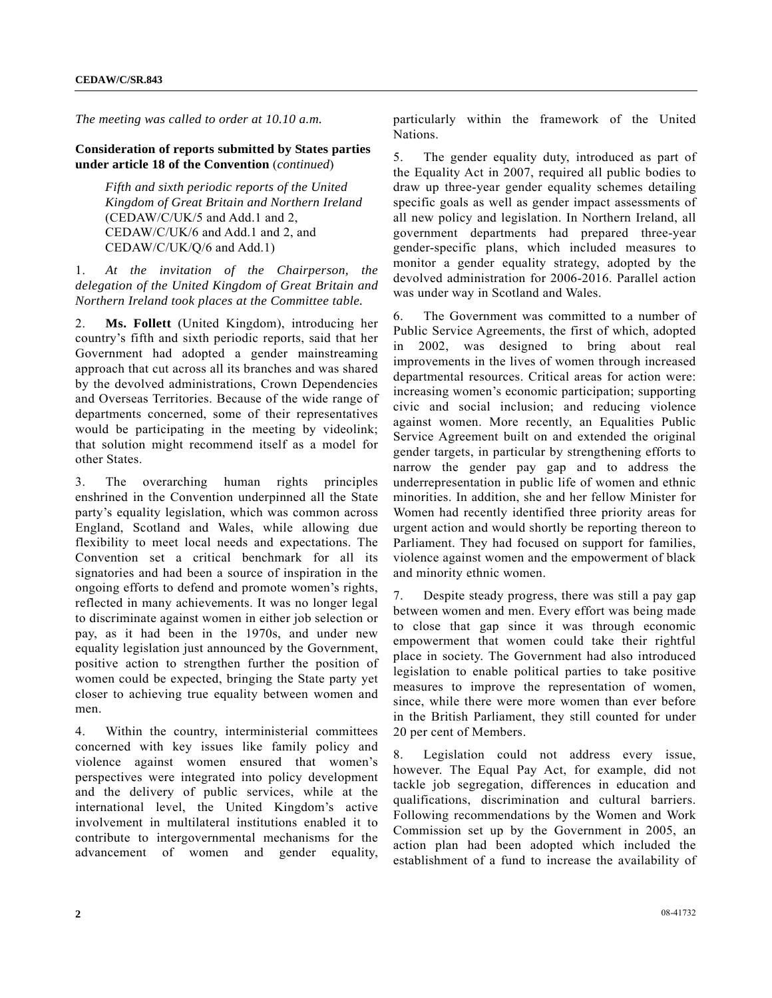*The meeting was called to order at 10.10 a.m.* 

#### **Consideration of reports submitted by States parties under article 18 of the Convention** (*continued*)

 *Fifth and sixth periodic reports of the United Kingdom of Great Britain and Northern Ireland*  (CEDAW/C/UK/5 and Add.1 and 2, CEDAW/C/UK/6 and Add.1 and 2, and CEDAW/C/UK/Q/6 and Add.1)

1. *At the invitation of the Chairperson, the delegation of the United Kingdom of Great Britain and Northern Ireland took places at the Committee table.*

2. **Ms. Follett** (United Kingdom), introducing her country's fifth and sixth periodic reports, said that her Government had adopted a gender mainstreaming approach that cut across all its branches and was shared by the devolved administrations, Crown Dependencies and Overseas Territories. Because of the wide range of departments concerned, some of their representatives would be participating in the meeting by videolink; that solution might recommend itself as a model for other States.

3. The overarching human rights principles enshrined in the Convention underpinned all the State party's equality legislation, which was common across England, Scotland and Wales, while allowing due flexibility to meet local needs and expectations. The Convention set a critical benchmark for all its signatories and had been a source of inspiration in the ongoing efforts to defend and promote women's rights, reflected in many achievements. It was no longer legal to discriminate against women in either job selection or pay, as it had been in the 1970s, and under new equality legislation just announced by the Government, positive action to strengthen further the position of women could be expected, bringing the State party yet closer to achieving true equality between women and men.

4. Within the country, interministerial committees concerned with key issues like family policy and violence against women ensured that women's perspectives were integrated into policy development and the delivery of public services, while at the international level, the United Kingdom's active involvement in multilateral institutions enabled it to contribute to intergovernmental mechanisms for the advancement of women and gender equality,

particularly within the framework of the United Nations.

5. The gender equality duty, introduced as part of the Equality Act in 2007, required all public bodies to draw up three-year gender equality schemes detailing specific goals as well as gender impact assessments of all new policy and legislation. In Northern Ireland, all government departments had prepared three-year gender-specific plans, which included measures to monitor a gender equality strategy, adopted by the devolved administration for 2006-2016. Parallel action was under way in Scotland and Wales.

6. The Government was committed to a number of Public Service Agreements, the first of which, adopted in 2002, was designed to bring about real improvements in the lives of women through increased departmental resources. Critical areas for action were: increasing women's economic participation; supporting civic and social inclusion; and reducing violence against women. More recently, an Equalities Public Service Agreement built on and extended the original gender targets, in particular by strengthening efforts to narrow the gender pay gap and to address the underrepresentation in public life of women and ethnic minorities. In addition, she and her fellow Minister for Women had recently identified three priority areas for urgent action and would shortly be reporting thereon to Parliament. They had focused on support for families, violence against women and the empowerment of black and minority ethnic women.

7. Despite steady progress, there was still a pay gap between women and men. Every effort was being made to close that gap since it was through economic empowerment that women could take their rightful place in society. The Government had also introduced legislation to enable political parties to take positive measures to improve the representation of women, since, while there were more women than ever before in the British Parliament, they still counted for under 20 per cent of Members.

8. Legislation could not address every issue, however. The Equal Pay Act, for example, did not tackle job segregation, differences in education and qualifications, discrimination and cultural barriers. Following recommendations by the Women and Work Commission set up by the Government in 2005, an action plan had been adopted which included the establishment of a fund to increase the availability of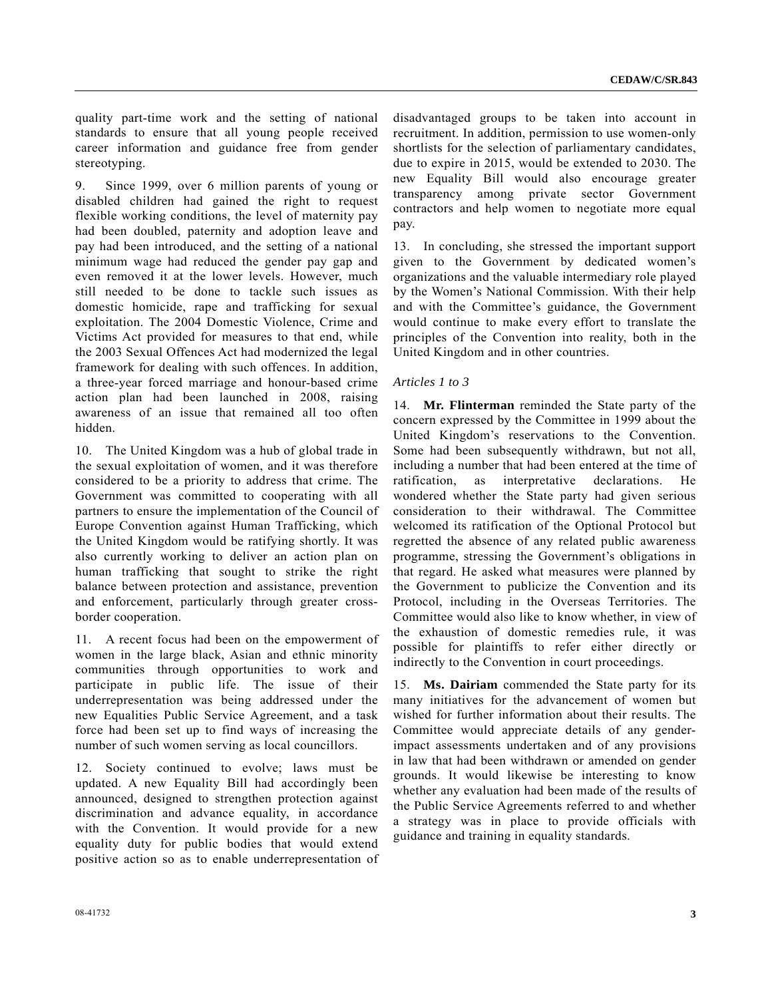quality part-time work and the setting of national standards to ensure that all young people received career information and guidance free from gender stereotyping.

9. Since 1999, over 6 million parents of young or disabled children had gained the right to request flexible working conditions, the level of maternity pay had been doubled, paternity and adoption leave and pay had been introduced, and the setting of a national minimum wage had reduced the gender pay gap and even removed it at the lower levels. However, much still needed to be done to tackle such issues as domestic homicide, rape and trafficking for sexual exploitation. The 2004 Domestic Violence, Crime and Victims Act provided for measures to that end, while the 2003 Sexual Offences Act had modernized the legal framework for dealing with such offences. In addition, a three-year forced marriage and honour-based crime action plan had been launched in 2008, raising awareness of an issue that remained all too often hidden.

10. The United Kingdom was a hub of global trade in the sexual exploitation of women, and it was therefore considered to be a priority to address that crime. The Government was committed to cooperating with all partners to ensure the implementation of the Council of Europe Convention against Human Trafficking, which the United Kingdom would be ratifying shortly. It was also currently working to deliver an action plan on human trafficking that sought to strike the right balance between protection and assistance, prevention and enforcement, particularly through greater crossborder cooperation.

11. A recent focus had been on the empowerment of women in the large black, Asian and ethnic minority communities through opportunities to work and participate in public life. The issue of their underrepresentation was being addressed under the new Equalities Public Service Agreement, and a task force had been set up to find ways of increasing the number of such women serving as local councillors.

12. Society continued to evolve; laws must be updated. A new Equality Bill had accordingly been announced, designed to strengthen protection against discrimination and advance equality, in accordance with the Convention. It would provide for a new equality duty for public bodies that would extend positive action so as to enable underrepresentation of disadvantaged groups to be taken into account in recruitment. In addition, permission to use women-only shortlists for the selection of parliamentary candidates, due to expire in 2015, would be extended to 2030. The new Equality Bill would also encourage greater transparency among private sector Government contractors and help women to negotiate more equal pay.

13. In concluding, she stressed the important support given to the Government by dedicated women's organizations and the valuable intermediary role played by the Women's National Commission. With their help and with the Committee's guidance, the Government would continue to make every effort to translate the principles of the Convention into reality, both in the United Kingdom and in other countries.

#### *Articles 1 to 3*

14. **Mr. Flinterman** reminded the State party of the concern expressed by the Committee in 1999 about the United Kingdom's reservations to the Convention. Some had been subsequently withdrawn, but not all, including a number that had been entered at the time of ratification, as interpretative declarations. He wondered whether the State party had given serious consideration to their withdrawal. The Committee welcomed its ratification of the Optional Protocol but regretted the absence of any related public awareness programme, stressing the Government's obligations in that regard. He asked what measures were planned by the Government to publicize the Convention and its Protocol, including in the Overseas Territories. The Committee would also like to know whether, in view of the exhaustion of domestic remedies rule, it was possible for plaintiffs to refer either directly or indirectly to the Convention in court proceedings.

15. **Ms. Dairiam** commended the State party for its many initiatives for the advancement of women but wished for further information about their results. The Committee would appreciate details of any genderimpact assessments undertaken and of any provisions in law that had been withdrawn or amended on gender grounds. It would likewise be interesting to know whether any evaluation had been made of the results of the Public Service Agreements referred to and whether a strategy was in place to provide officials with guidance and training in equality standards.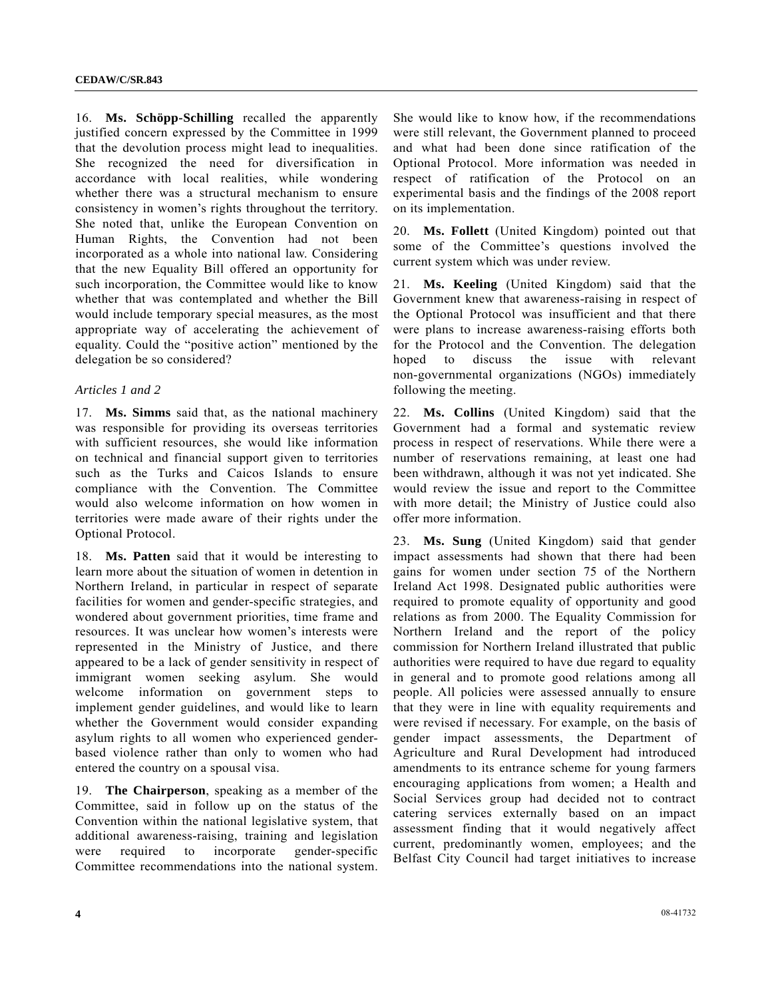16. **Ms. Schöpp-Schilling** recalled the apparently justified concern expressed by the Committee in 1999 that the devolution process might lead to inequalities. She recognized the need for diversification in accordance with local realities, while wondering whether there was a structural mechanism to ensure consistency in women's rights throughout the territory. She noted that, unlike the European Convention on Human Rights, the Convention had not been incorporated as a whole into national law. Considering that the new Equality Bill offered an opportunity for such incorporation, the Committee would like to know whether that was contemplated and whether the Bill would include temporary special measures, as the most appropriate way of accelerating the achievement of equality. Could the "positive action" mentioned by the delegation be so considered?

#### *Articles 1 and 2*

17. **Ms. Simms** said that, as the national machinery was responsible for providing its overseas territories with sufficient resources, she would like information on technical and financial support given to territories such as the Turks and Caicos Islands to ensure compliance with the Convention. The Committee would also welcome information on how women in territories were made aware of their rights under the Optional Protocol.

18. **Ms. Patten** said that it would be interesting to learn more about the situation of women in detention in Northern Ireland, in particular in respect of separate facilities for women and gender-specific strategies, and wondered about government priorities, time frame and resources. It was unclear how women's interests were represented in the Ministry of Justice, and there appeared to be a lack of gender sensitivity in respect of immigrant women seeking asylum. She would welcome information on government steps to implement gender guidelines, and would like to learn whether the Government would consider expanding asylum rights to all women who experienced genderbased violence rather than only to women who had entered the country on a spousal visa.

19. **The Chairperson**, speaking as a member of the Committee, said in follow up on the status of the Convention within the national legislative system, that additional awareness-raising, training and legislation were required to incorporate gender-specific Committee recommendations into the national system.

She would like to know how, if the recommendations were still relevant, the Government planned to proceed and what had been done since ratification of the Optional Protocol. More information was needed in respect of ratification of the Protocol on an experimental basis and the findings of the 2008 report on its implementation.

20. **Ms. Follett** (United Kingdom) pointed out that some of the Committee's questions involved the current system which was under review.

21. **Ms. Keeling** (United Kingdom) said that the Government knew that awareness-raising in respect of the Optional Protocol was insufficient and that there were plans to increase awareness-raising efforts both for the Protocol and the Convention. The delegation hoped to discuss the issue with relevant non-governmental organizations (NGOs) immediately following the meeting.

22. **Ms. Collins** (United Kingdom) said that the Government had a formal and systematic review process in respect of reservations. While there were a number of reservations remaining, at least one had been withdrawn, although it was not yet indicated. She would review the issue and report to the Committee with more detail; the Ministry of Justice could also offer more information.

23. **Ms. Sung** (United Kingdom) said that gender impact assessments had shown that there had been gains for women under section 75 of the Northern Ireland Act 1998. Designated public authorities were required to promote equality of opportunity and good relations as from 2000. The Equality Commission for Northern Ireland and the report of the policy commission for Northern Ireland illustrated that public authorities were required to have due regard to equality in general and to promote good relations among all people. All policies were assessed annually to ensure that they were in line with equality requirements and were revised if necessary. For example, on the basis of gender impact assessments, the Department of Agriculture and Rural Development had introduced amendments to its entrance scheme for young farmers encouraging applications from women; a Health and Social Services group had decided not to contract catering services externally based on an impact assessment finding that it would negatively affect current, predominantly women, employees; and the Belfast City Council had target initiatives to increase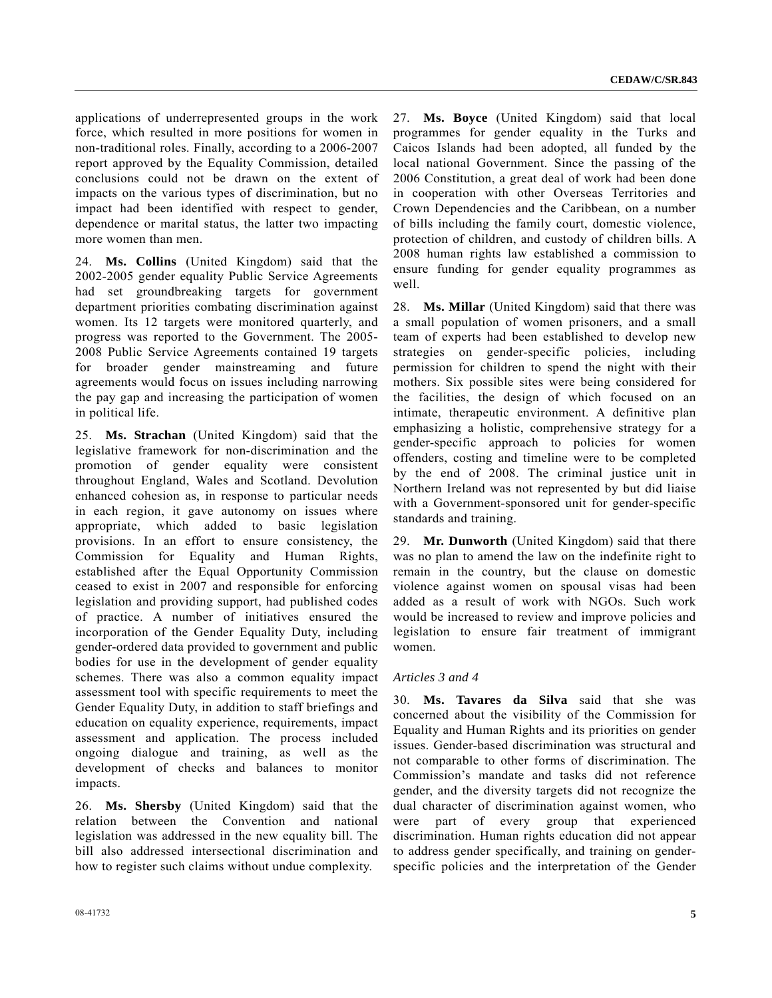applications of underrepresented groups in the work force, which resulted in more positions for women in non-traditional roles. Finally, according to a 2006-2007 report approved by the Equality Commission, detailed conclusions could not be drawn on the extent of impacts on the various types of discrimination, but no impact had been identified with respect to gender, dependence or marital status, the latter two impacting more women than men.

24. **Ms. Collins** (United Kingdom) said that the 2002-2005 gender equality Public Service Agreements had set groundbreaking targets for government department priorities combating discrimination against women. Its 12 targets were monitored quarterly, and progress was reported to the Government. The 2005- 2008 Public Service Agreements contained 19 targets for broader gender mainstreaming and future agreements would focus on issues including narrowing the pay gap and increasing the participation of women in political life.

25. **Ms. Strachan** (United Kingdom) said that the legislative framework for non-discrimination and the promotion of gender equality were consistent throughout England, Wales and Scotland. Devolution enhanced cohesion as, in response to particular needs in each region, it gave autonomy on issues where appropriate, which added to basic legislation provisions. In an effort to ensure consistency, the Commission for Equality and Human Rights, established after the Equal Opportunity Commission ceased to exist in 2007 and responsible for enforcing legislation and providing support, had published codes of practice. A number of initiatives ensured the incorporation of the Gender Equality Duty, including gender-ordered data provided to government and public bodies for use in the development of gender equality schemes. There was also a common equality impact assessment tool with specific requirements to meet the Gender Equality Duty, in addition to staff briefings and education on equality experience, requirements, impact assessment and application. The process included ongoing dialogue and training, as well as the development of checks and balances to monitor impacts.

26. **Ms. Shersby** (United Kingdom) said that the relation between the Convention and national legislation was addressed in the new equality bill. The bill also addressed intersectional discrimination and how to register such claims without undue complexity.

27. **Ms. Boyce** (United Kingdom) said that local programmes for gender equality in the Turks and Caicos Islands had been adopted, all funded by the local national Government. Since the passing of the 2006 Constitution, a great deal of work had been done in cooperation with other Overseas Territories and Crown Dependencies and the Caribbean, on a number of bills including the family court, domestic violence, protection of children, and custody of children bills. A 2008 human rights law established a commission to ensure funding for gender equality programmes as well.

28. **Ms. Millar** (United Kingdom) said that there was a small population of women prisoners, and a small team of experts had been established to develop new strategies on gender-specific policies, including permission for children to spend the night with their mothers. Six possible sites were being considered for the facilities, the design of which focused on an intimate, therapeutic environment. A definitive plan emphasizing a holistic, comprehensive strategy for a gender-specific approach to policies for women offenders, costing and timeline were to be completed by the end of 2008. The criminal justice unit in Northern Ireland was not represented by but did liaise with a Government-sponsored unit for gender-specific standards and training.

29. **Mr. Dunworth** (United Kingdom) said that there was no plan to amend the law on the indefinite right to remain in the country, but the clause on domestic violence against women on spousal visas had been added as a result of work with NGOs. Such work would be increased to review and improve policies and legislation to ensure fair treatment of immigrant women.

#### *Articles 3 and 4*

30. **Ms. Tavares da Silva** said that she was concerned about the visibility of the Commission for Equality and Human Rights and its priorities on gender issues. Gender-based discrimination was structural and not comparable to other forms of discrimination. The Commission's mandate and tasks did not reference gender, and the diversity targets did not recognize the dual character of discrimination against women, who were part of every group that experienced discrimination. Human rights education did not appear to address gender specifically, and training on genderspecific policies and the interpretation of the Gender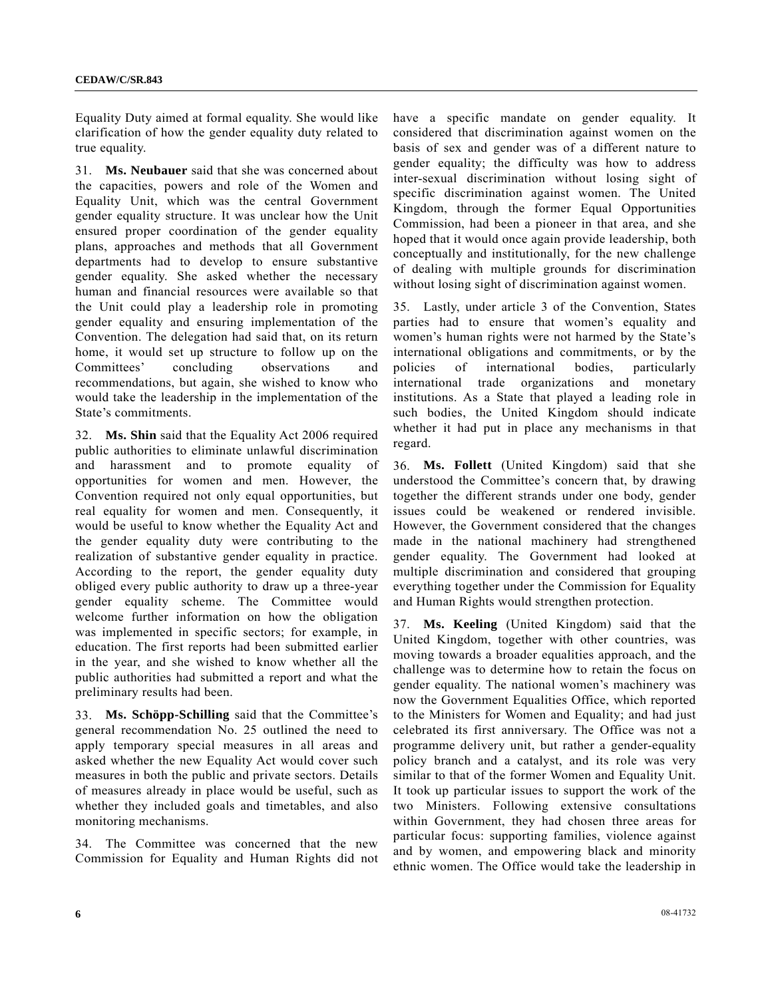Equality Duty aimed at formal equality. She would like clarification of how the gender equality duty related to true equality.

31. **Ms. Neubauer** said that she was concerned about the capacities, powers and role of the Women and Equality Unit, which was the central Government gender equality structure. It was unclear how the Unit ensured proper coordination of the gender equality plans, approaches and methods that all Government departments had to develop to ensure substantive gender equality. She asked whether the necessary human and financial resources were available so that the Unit could play a leadership role in promoting gender equality and ensuring implementation of the Convention. The delegation had said that, on its return home, it would set up structure to follow up on the Committees' concluding observations and recommendations, but again, she wished to know who would take the leadership in the implementation of the State's commitments.

32. **Ms. Shin** said that the Equality Act 2006 required public authorities to eliminate unlawful discrimination and harassment and to promote equality of opportunities for women and men. However, the Convention required not only equal opportunities, but real equality for women and men. Consequently, it would be useful to know whether the Equality Act and the gender equality duty were contributing to the realization of substantive gender equality in practice. According to the report, the gender equality duty obliged every public authority to draw up a three-year gender equality scheme. The Committee would welcome further information on how the obligation was implemented in specific sectors; for example, in education. The first reports had been submitted earlier in the year, and she wished to know whether all the public authorities had submitted a report and what the preliminary results had been.

33. **Ms. Schöpp-Schilling** said that the Committee's general recommendation No. 25 outlined the need to apply temporary special measures in all areas and asked whether the new Equality Act would cover such measures in both the public and private sectors. Details of measures already in place would be useful, such as whether they included goals and timetables, and also monitoring mechanisms.

34. The Committee was concerned that the new Commission for Equality and Human Rights did not have a specific mandate on gender equality. It considered that discrimination against women on the basis of sex and gender was of a different nature to gender equality; the difficulty was how to address inter-sexual discrimination without losing sight of specific discrimination against women. The United Kingdom, through the former Equal Opportunities Commission, had been a pioneer in that area, and she hoped that it would once again provide leadership, both conceptually and institutionally, for the new challenge of dealing with multiple grounds for discrimination without losing sight of discrimination against women.

35. Lastly, under article 3 of the Convention, States parties had to ensure that women's equality and women's human rights were not harmed by the State's international obligations and commitments, or by the policies of international bodies, particularly international trade organizations and monetary institutions. As a State that played a leading role in such bodies, the United Kingdom should indicate whether it had put in place any mechanisms in that regard.

36. **Ms. Follett** (United Kingdom) said that she understood the Committee's concern that, by drawing together the different strands under one body, gender issues could be weakened or rendered invisible. However, the Government considered that the changes made in the national machinery had strengthened gender equality. The Government had looked at multiple discrimination and considered that grouping everything together under the Commission for Equality and Human Rights would strengthen protection.

37. **Ms. Keeling** (United Kingdom) said that the United Kingdom, together with other countries, was moving towards a broader equalities approach, and the challenge was to determine how to retain the focus on gender equality. The national women's machinery was now the Government Equalities Office, which reported to the Ministers for Women and Equality; and had just celebrated its first anniversary. The Office was not a programme delivery unit, but rather a gender-equality policy branch and a catalyst, and its role was very similar to that of the former Women and Equality Unit. It took up particular issues to support the work of the two Ministers. Following extensive consultations within Government, they had chosen three areas for particular focus: supporting families, violence against and by women, and empowering black and minority ethnic women. The Office would take the leadership in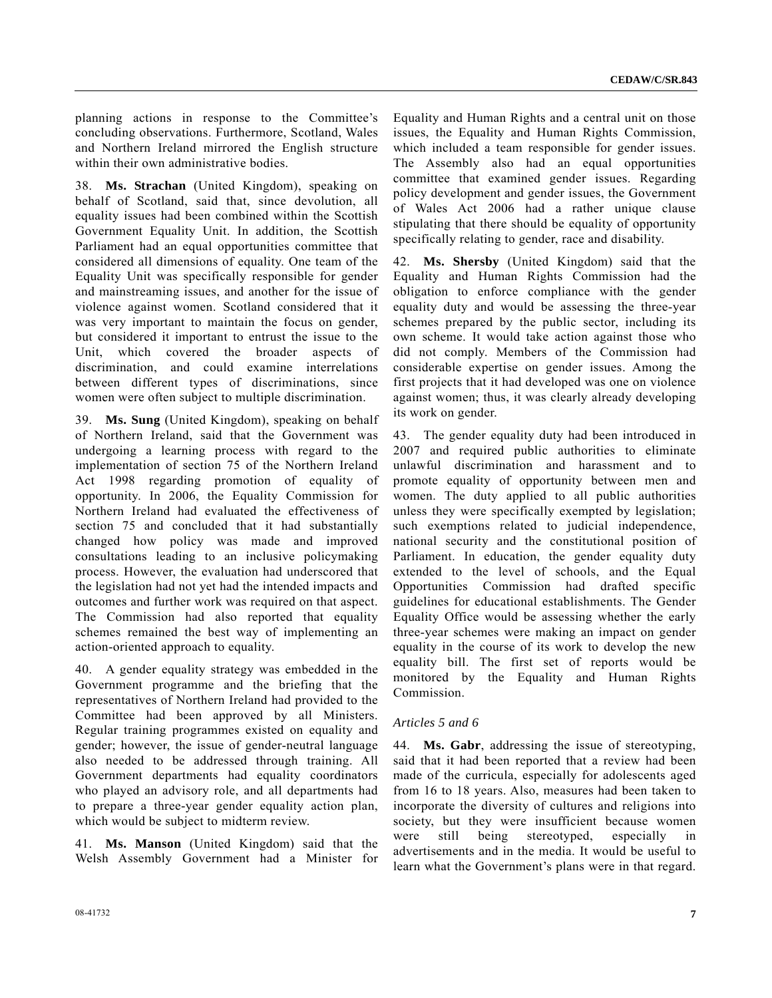planning actions in response to the Committee's concluding observations. Furthermore, Scotland, Wales and Northern Ireland mirrored the English structure within their own administrative bodies.

38. **Ms. Strachan** (United Kingdom), speaking on behalf of Scotland, said that, since devolution, all equality issues had been combined within the Scottish Government Equality Unit. In addition, the Scottish Parliament had an equal opportunities committee that considered all dimensions of equality. One team of the Equality Unit was specifically responsible for gender and mainstreaming issues, and another for the issue of violence against women. Scotland considered that it was very important to maintain the focus on gender, but considered it important to entrust the issue to the Unit, which covered the broader aspects of discrimination, and could examine interrelations between different types of discriminations, since women were often subject to multiple discrimination.

39. **Ms. Sung** (United Kingdom), speaking on behalf of Northern Ireland, said that the Government was undergoing a learning process with regard to the implementation of section 75 of the Northern Ireland Act 1998 regarding promotion of equality of opportunity. In 2006, the Equality Commission for Northern Ireland had evaluated the effectiveness of section 75 and concluded that it had substantially changed how policy was made and improved consultations leading to an inclusive policymaking process. However, the evaluation had underscored that the legislation had not yet had the intended impacts and outcomes and further work was required on that aspect. The Commission had also reported that equality schemes remained the best way of implementing an action-oriented approach to equality.

40. A gender equality strategy was embedded in the Government programme and the briefing that the representatives of Northern Ireland had provided to the Committee had been approved by all Ministers. Regular training programmes existed on equality and gender; however, the issue of gender-neutral language also needed to be addressed through training. All Government departments had equality coordinators who played an advisory role, and all departments had to prepare a three-year gender equality action plan, which would be subject to midterm review.

41. **Ms. Manson** (United Kingdom) said that the Welsh Assembly Government had a Minister for Equality and Human Rights and a central unit on those issues, the Equality and Human Rights Commission, which included a team responsible for gender issues. The Assembly also had an equal opportunities committee that examined gender issues. Regarding policy development and gender issues, the Government of Wales Act 2006 had a rather unique clause stipulating that there should be equality of opportunity specifically relating to gender, race and disability.

42. **Ms. Shersby** (United Kingdom) said that the Equality and Human Rights Commission had the obligation to enforce compliance with the gender equality duty and would be assessing the three-year schemes prepared by the public sector, including its own scheme. It would take action against those who did not comply. Members of the Commission had considerable expertise on gender issues. Among the first projects that it had developed was one on violence against women; thus, it was clearly already developing its work on gender.

43. The gender equality duty had been introduced in 2007 and required public authorities to eliminate unlawful discrimination and harassment and to promote equality of opportunity between men and women. The duty applied to all public authorities unless they were specifically exempted by legislation; such exemptions related to judicial independence, national security and the constitutional position of Parliament. In education, the gender equality duty extended to the level of schools, and the Equal Opportunities Commission had drafted specific guidelines for educational establishments. The Gender Equality Office would be assessing whether the early three-year schemes were making an impact on gender equality in the course of its work to develop the new equality bill. The first set of reports would be monitored by the Equality and Human Rights Commission.

#### *Articles 5 and 6*

44. **Ms. Gabr**, addressing the issue of stereotyping, said that it had been reported that a review had been made of the curricula, especially for adolescents aged from 16 to 18 years. Also, measures had been taken to incorporate the diversity of cultures and religions into society, but they were insufficient because women were still being stereotyped, especially in advertisements and in the media. It would be useful to learn what the Government's plans were in that regard.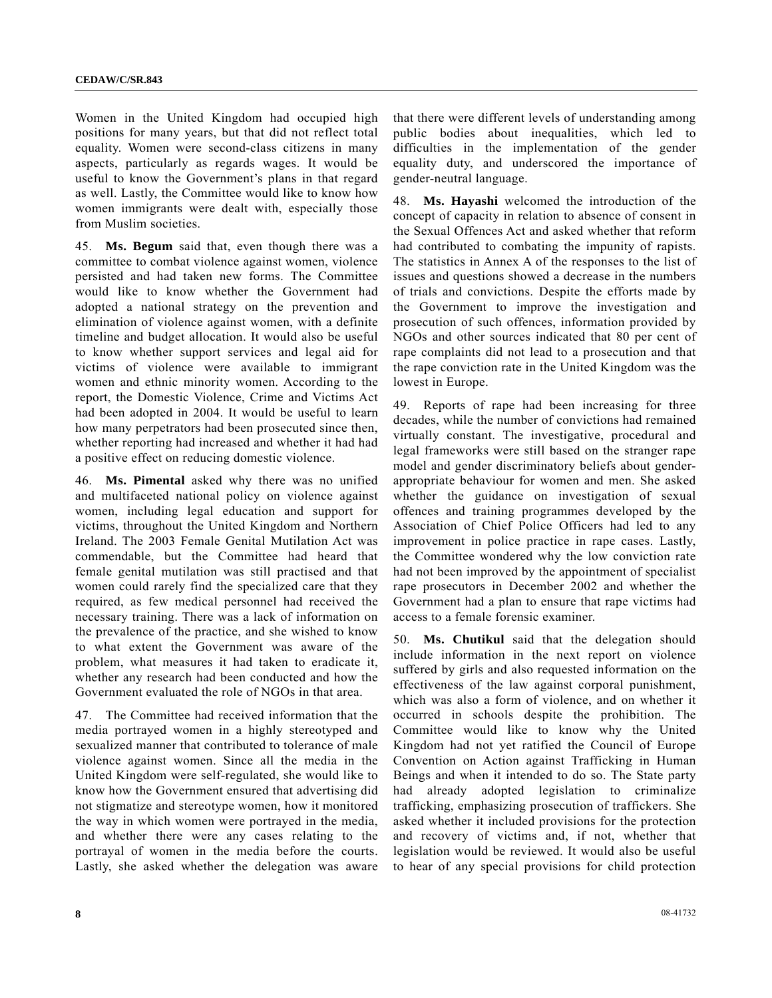Women in the United Kingdom had occupied high positions for many years, but that did not reflect total equality. Women were second-class citizens in many aspects, particularly as regards wages. It would be useful to know the Government's plans in that regard as well. Lastly, the Committee would like to know how women immigrants were dealt with, especially those from Muslim societies.

45. **Ms. Begum** said that, even though there was a committee to combat violence against women, violence persisted and had taken new forms. The Committee would like to know whether the Government had adopted a national strategy on the prevention and elimination of violence against women, with a definite timeline and budget allocation. It would also be useful to know whether support services and legal aid for victims of violence were available to immigrant women and ethnic minority women. According to the report, the Domestic Violence, Crime and Victims Act had been adopted in 2004. It would be useful to learn how many perpetrators had been prosecuted since then, whether reporting had increased and whether it had had a positive effect on reducing domestic violence.

46. **Ms. Pimental** asked why there was no unified and multifaceted national policy on violence against women, including legal education and support for victims, throughout the United Kingdom and Northern Ireland. The 2003 Female Genital Mutilation Act was commendable, but the Committee had heard that female genital mutilation was still practised and that women could rarely find the specialized care that they required, as few medical personnel had received the necessary training. There was a lack of information on the prevalence of the practice, and she wished to know to what extent the Government was aware of the problem, what measures it had taken to eradicate it, whether any research had been conducted and how the Government evaluated the role of NGOs in that area.

47. The Committee had received information that the media portrayed women in a highly stereotyped and sexualized manner that contributed to tolerance of male violence against women. Since all the media in the United Kingdom were self-regulated, she would like to know how the Government ensured that advertising did not stigmatize and stereotype women, how it monitored the way in which women were portrayed in the media, and whether there were any cases relating to the portrayal of women in the media before the courts. Lastly, she asked whether the delegation was aware

that there were different levels of understanding among public bodies about inequalities, which led to difficulties in the implementation of the gender equality duty, and underscored the importance of gender-neutral language.

48. **Ms. Hayashi** welcomed the introduction of the concept of capacity in relation to absence of consent in the Sexual Offences Act and asked whether that reform had contributed to combating the impunity of rapists. The statistics in Annex A of the responses to the list of issues and questions showed a decrease in the numbers of trials and convictions. Despite the efforts made by the Government to improve the investigation and prosecution of such offences, information provided by NGOs and other sources indicated that 80 per cent of rape complaints did not lead to a prosecution and that the rape conviction rate in the United Kingdom was the lowest in Europe.

49. Reports of rape had been increasing for three decades, while the number of convictions had remained virtually constant. The investigative, procedural and legal frameworks were still based on the stranger rape model and gender discriminatory beliefs about genderappropriate behaviour for women and men. She asked whether the guidance on investigation of sexual offences and training programmes developed by the Association of Chief Police Officers had led to any improvement in police practice in rape cases. Lastly, the Committee wondered why the low conviction rate had not been improved by the appointment of specialist rape prosecutors in December 2002 and whether the Government had a plan to ensure that rape victims had access to a female forensic examiner.

50. **Ms. Chutikul** said that the delegation should include information in the next report on violence suffered by girls and also requested information on the effectiveness of the law against corporal punishment, which was also a form of violence, and on whether it occurred in schools despite the prohibition. The Committee would like to know why the United Kingdom had not yet ratified the Council of Europe Convention on Action against Trafficking in Human Beings and when it intended to do so. The State party had already adopted legislation to criminalize trafficking, emphasizing prosecution of traffickers. She asked whether it included provisions for the protection and recovery of victims and, if not, whether that legislation would be reviewed. It would also be useful to hear of any special provisions for child protection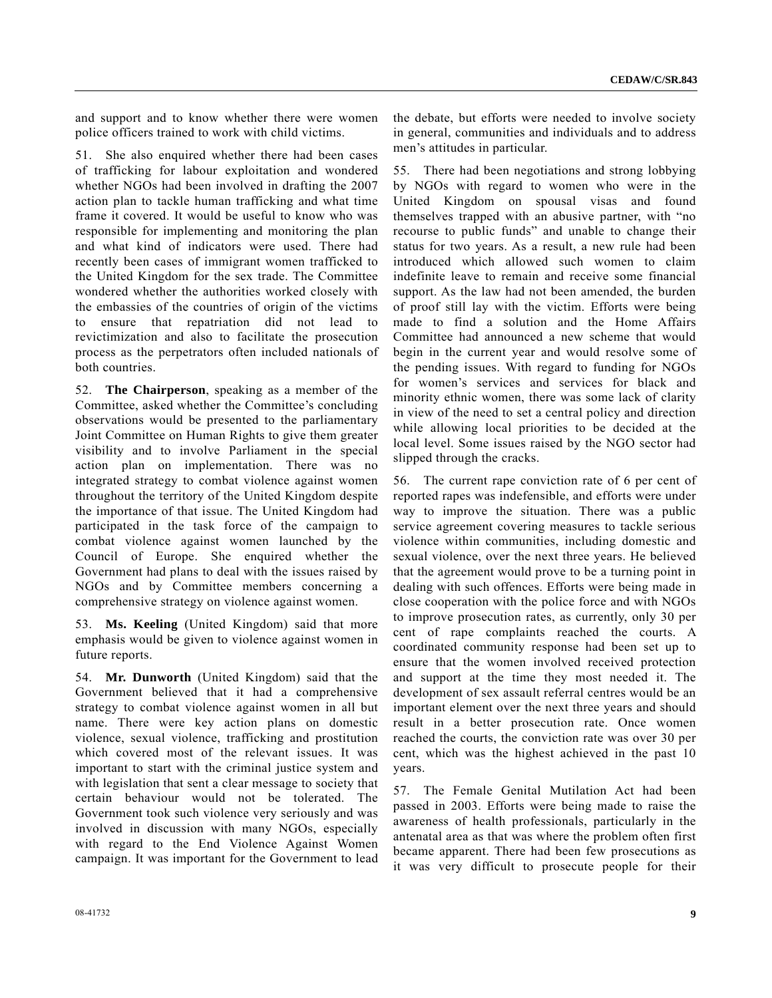and support and to know whether there were women police officers trained to work with child victims.

51. She also enquired whether there had been cases of trafficking for labour exploitation and wondered whether NGOs had been involved in drafting the 2007 action plan to tackle human trafficking and what time frame it covered. It would be useful to know who was responsible for implementing and monitoring the plan and what kind of indicators were used. There had recently been cases of immigrant women trafficked to the United Kingdom for the sex trade. The Committee wondered whether the authorities worked closely with the embassies of the countries of origin of the victims to ensure that repatriation did not lead to revictimization and also to facilitate the prosecution process as the perpetrators often included nationals of both countries.

52. **The Chairperson**, speaking as a member of the Committee, asked whether the Committee's concluding observations would be presented to the parliamentary Joint Committee on Human Rights to give them greater visibility and to involve Parliament in the special action plan on implementation. There was no integrated strategy to combat violence against women throughout the territory of the United Kingdom despite the importance of that issue. The United Kingdom had participated in the task force of the campaign to combat violence against women launched by the Council of Europe. She enquired whether the Government had plans to deal with the issues raised by NGOs and by Committee members concerning a comprehensive strategy on violence against women.

53. **Ms. Keeling** (United Kingdom) said that more emphasis would be given to violence against women in future reports.

54. **Mr. Dunworth** (United Kingdom) said that the Government believed that it had a comprehensive strategy to combat violence against women in all but name. There were key action plans on domestic violence, sexual violence, trafficking and prostitution which covered most of the relevant issues. It was important to start with the criminal justice system and with legislation that sent a clear message to society that certain behaviour would not be tolerated. The Government took such violence very seriously and was involved in discussion with many NGOs, especially with regard to the End Violence Against Women campaign. It was important for the Government to lead 55. There had been negotiations and strong lobbying by NGOs with regard to women who were in the United Kingdom on spousal visas and found themselves trapped with an abusive partner, with "no recourse to public funds" and unable to change their status for two years. As a result, a new rule had been introduced which allowed such women to claim indefinite leave to remain and receive some financial support. As the law had not been amended, the burden of proof still lay with the victim. Efforts were being made to find a solution and the Home Affairs Committee had announced a new scheme that would begin in the current year and would resolve some of the pending issues. With regard to funding for NGOs for women's services and services for black and minority ethnic women, there was some lack of clarity in view of the need to set a central policy and direction while allowing local priorities to be decided at the local level. Some issues raised by the NGO sector had slipped through the cracks.

56. The current rape conviction rate of 6 per cent of reported rapes was indefensible, and efforts were under way to improve the situation. There was a public service agreement covering measures to tackle serious violence within communities, including domestic and sexual violence, over the next three years. He believed that the agreement would prove to be a turning point in dealing with such offences. Efforts were being made in close cooperation with the police force and with NGOs to improve prosecution rates, as currently, only 30 per cent of rape complaints reached the courts. A coordinated community response had been set up to ensure that the women involved received protection and support at the time they most needed it. The development of sex assault referral centres would be an important element over the next three years and should result in a better prosecution rate. Once women reached the courts, the conviction rate was over 30 per cent, which was the highest achieved in the past 10 years.

57. The Female Genital Mutilation Act had been passed in 2003. Efforts were being made to raise the awareness of health professionals, particularly in the antenatal area as that was where the problem often first became apparent. There had been few prosecutions as it was very difficult to prosecute people for their